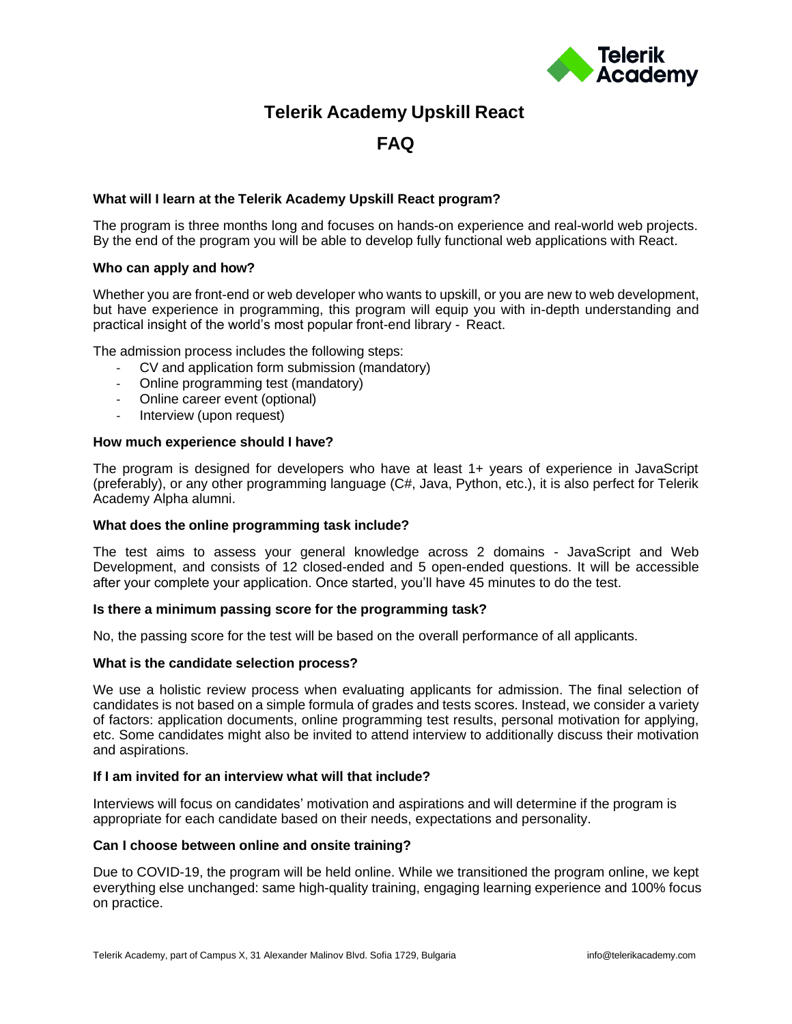

## **Telerik Academy Upskill React**

# **FAQ**

## **What will I learn at the Telerik Academy Upskill React program?**

The program is three months long and focuses on hands-on experience and real-world web projects. By the end of the program you will be able to develop fully functional web applications with React.

## **Who can apply and how?**

Whether you are front-end or web developer who wants to upskill, or you are new to web development, but have experience in programming, this program will equip you with in-depth understanding and practical insight of the world's most popular front-end library - React.

The admission process includes the following steps:

- CV and application form submission (mandatory)
- Online programming test (mandatory)
- Online career event (optional)
- Interview (upon request)

## **How much experience should I have?**

The program is designed for developers who have at least 1+ years of experience in JavaScript (preferably), or any other programming language (C#, Java, Python, etc.), it is also perfect for Telerik Academy Alpha alumni.

## **What does the online programming task include?**

The test aims to assess your general knowledge across 2 domains - JavaScript and Web Development, and consists of 12 closed-ended and 5 open-ended questions. It will be accessible after your complete your application. Once started, you'll have 45 minutes to do the test.

## **Is there a minimum passing score for the programming task?**

No, the passing score for the test will be based on the overall performance of all applicants.

## **What is the candidate selection process?**

We use a holistic review process when evaluating applicants for admission. The final selection of candidates is not based on a simple formula of grades and tests scores. Instead, we consider a variety of factors: application documents, online programming test results, personal motivation for applying, etc. Some candidates might also be invited to attend interview to additionally discuss their motivation and aspirations.

## **If I am invited for an interview what will that include?**

Interviews will focus on candidates' motivation and aspirations and will determine if the program is appropriate for each candidate based on their needs, expectations and personality.

## **Can I choose between online and onsite training?**

Due to COVID-19, the program will be held online. While we transitioned the program online, we kept everything else unchanged: same high-quality training, engaging learning experience and 100% focus on practice.